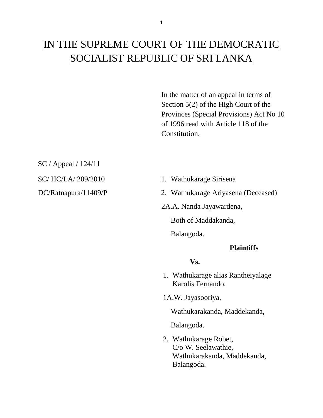# IN THE SUPREME COURT OF THE DEMOCRATIC SOCIALIST REPUBLIC OF SRI LANKA

In the matter of an appeal in terms of Section 5(2) of the High Court of the Provinces (Special Provisions) Act No 10 of 1996 read with Article 118 of the Constitution.

SC / Appeal / 124/11

- SC/ HC/LA/ 209/2010 1. Wathukarage Sirisena
- DC/Ratnapura/11409/P 2. Wathukarage Ariyasena (Deceased)
	- 2A.A. Nanda Jayawardena,

Both of Maddakanda,

Balangoda.

## **Plaintiffs**

## **Vs.**

- 1. Wathukarage alias Rantheiyalage Karolis Fernando,
- 1A.W. Jayasooriya,

Wathukarakanda, Maddekanda,

Balangoda.

2. Wathukarage Robet, C/o W. Seelawathie, Wathukarakanda, Maddekanda, Balangoda.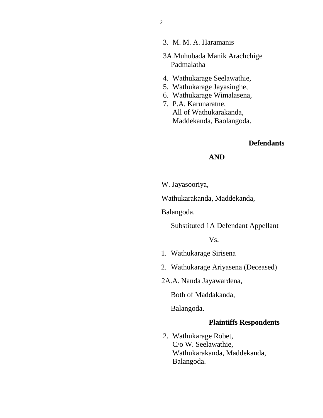- 3. M. M. A. Haramanis
- 3A.Muhubada Manik Arachchige Padmalatha
- 4. Wathukarage Seelawathie,
- 5. Wathukarage Jayasinghe,
- 6. Wathukarage Wimalasena,
- 7. P.A. Karunaratne, All of Wathukarakanda, Maddekanda, Baolangoda.

## **Defendants**

## **AND**

W. Jayasooriya,

Wathukarakanda, Maddekanda,

Balangoda.

Substituted 1A Defendant Appellant

Vs.

- 1. Wathukarage Sirisena
- 2. Wathukarage Ariyasena (Deceased)
- 2A.A. Nanda Jayawardena,

Both of Maddakanda,

Balangoda.

#### **Plaintiffs Respondents**

2. Wathukarage Robet, C/o W. Seelawathie, Wathukarakanda, Maddekanda, Balangoda.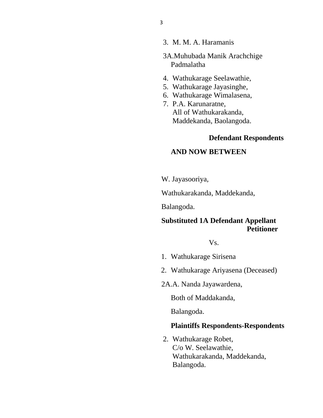- 3. M. M. A. Haramanis
- 3A.Muhubada Manik Arachchige Padmalatha
- 4. Wathukarage Seelawathie,
- 5. Wathukarage Jayasinghe,
- 6. Wathukarage Wimalasena,
- 7. P.A. Karunaratne, All of Wathukarakanda, Maddekanda, Baolangoda.

## **Defendant Respondents**

## **AND NOW BETWEEN**

W. Jayasooriya,

Wathukarakanda, Maddekanda,

Balangoda.

## **Substituted 1A Defendant Appellant Petitioner**

Vs.

- 1. Wathukarage Sirisena
- 2. Wathukarage Ariyasena (Deceased)
- 2A.A. Nanda Jayawardena,

Both of Maddakanda,

Balangoda.

#### **Plaintiffs Respondents-Respondents**

2. Wathukarage Robet, C/o W. Seelawathie, Wathukarakanda, Maddekanda, Balangoda.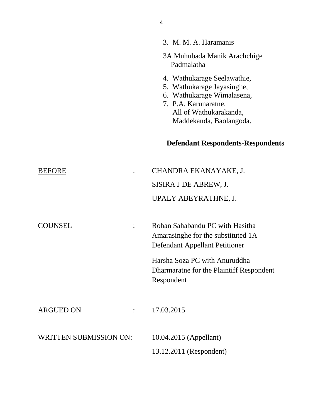|                               | 3A.Muhubada Manik Arachchige<br>Padmalatha                                                                                                                           |
|-------------------------------|----------------------------------------------------------------------------------------------------------------------------------------------------------------------|
|                               | 4. Wathukarage Seelawathie,<br>5. Wathukarage Jayasinghe,<br>6. Wathukarage Wimalasena,<br>7. P.A. Karunaratne,<br>All of Wathukarakanda,<br>Maddekanda, Baolangoda. |
|                               | <b>Defendant Respondents-Respondents</b>                                                                                                                             |
| <b>BEFORE</b>                 | CHANDRA EKANAYAKE, J.                                                                                                                                                |
|                               | SISIRA J DE ABREW, J.                                                                                                                                                |
|                               | UPALY ABEYRATHNE, J.                                                                                                                                                 |
| COUNSEL<br>$\ddot{\cdot}$     | Rohan Sahabandu PC with Hasitha<br>Amarasinghe for the substituted 1A<br>Defendant Appellant Petitioner                                                              |
|                               | Harsha Soza PC with Anuruddha<br>Dharmaratne for the Plaintiff Respondent<br>Respondent                                                                              |
| <b>ARGUED ON</b>              | 17.03.2015                                                                                                                                                           |
| <b>WRITTEN SUBMISSION ON:</b> | 10.04.2015 (Appellant)                                                                                                                                               |
|                               | 13.12.2011 (Respondent)                                                                                                                                              |

3. M. M. A. Haramanis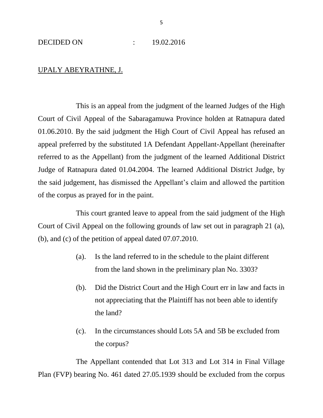## UPALY ABEYRATHNE, J.

This is an appeal from the judgment of the learned Judges of the High Court of Civil Appeal of the Sabaragamuwa Province holden at Ratnapura dated 01.06.2010. By the said judgment the High Court of Civil Appeal has refused an appeal preferred by the substituted 1A Defendant Appellant-Appellant (hereinafter referred to as the Appellant) from the judgment of the learned Additional District Judge of Ratnapura dated 01.04.2004. The learned Additional District Judge, by the said judgement, has dismissed the Appellant's claim and allowed the partition of the corpus as prayed for in the paint.

This court granted leave to appeal from the said judgment of the High Court of Civil Appeal on the following grounds of law set out in paragraph 21 (a), (b), and (c) of the petition of appeal dated 07.07.2010.

- (a). Is the land referred to in the schedule to the plaint different from the land shown in the preliminary plan No. 3303?
- (b). Did the District Court and the High Court err in law and facts in not appreciating that the Plaintiff has not been able to identify the land?
- (c). In the circumstances should Lots 5A and 5B be excluded from the corpus?

The Appellant contended that Lot 313 and Lot 314 in Final Village Plan (FVP) bearing No. 461 dated 27.05.1939 should be excluded from the corpus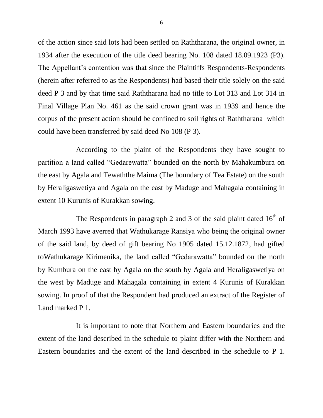of the action since said lots had been settled on Raththarana, the original owner, in 1934 after the execution of the title deed bearing No. 108 dated 18.09.1923 (P3). The Appellant's contention was that since the Plaintiffs Respondents-Respondents (herein after referred to as the Respondents) had based their title solely on the said deed P 3 and by that time said Raththarana had no title to Lot 313 and Lot 314 in Final Village Plan No. 461 as the said crown grant was in 1939 and hence the corpus of the present action should be confined to soil rights of Raththarana which could have been transferred by said deed No 108 (P 3).

According to the plaint of the Respondents they have sought to partition a land called "Gedarewatta" bounded on the north by Mahakumbura on the east by Agala and Tewaththe Maima (The boundary of Tea Estate) on the south by Heraligaswetiya and Agala on the east by Maduge and Mahagala containing in extent 10 Kurunis of Kurakkan sowing.

The Respondents in paragraph 2 and 3 of the said plaint dated  $16<sup>th</sup>$  of March 1993 have averred that Wathukarage Ransiya who being the original owner of the said land, by deed of gift bearing No 1905 dated 15.12.1872, had gifted toWathukarage Kirimenika, the land called "Gedarawatta" bounded on the north by Kumbura on the east by Agala on the south by Agala and Heraligaswetiya on the west by Maduge and Mahagala containing in extent 4 Kurunis of Kurakkan sowing. In proof of that the Respondent had produced an extract of the Register of Land marked P 1.

It is important to note that Northern and Eastern boundaries and the extent of the land described in the schedule to plaint differ with the Northern and Eastern boundaries and the extent of the land described in the schedule to P 1.

6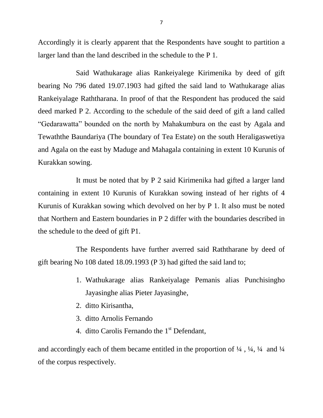Accordingly it is clearly apparent that the Respondents have sought to partition a larger land than the land described in the schedule to the P 1.

Said Wathukarage alias Rankeiyalege Kirimenika by deed of gift bearing No 796 dated 19.07.1903 had gifted the said land to Wathukarage alias Rankeiyalage Raththarana. In proof of that the Respondent has produced the said deed marked P 2. According to the schedule of the said deed of gift a land called "Gedarawatta" bounded on the north by Mahakumbura on the east by Agala and Tewaththe Baundariya (The boundary of Tea Estate) on the south Heraligaswetiya and Agala on the east by Maduge and Mahagala containing in extent 10 Kurunis of Kurakkan sowing.

It must be noted that by P 2 said Kirimenika had gifted a larger land containing in extent 10 Kurunis of Kurakkan sowing instead of her rights of 4 Kurunis of Kurakkan sowing which devolved on her by P 1. It also must be noted that Northern and Eastern boundaries in P 2 differ with the boundaries described in the schedule to the deed of gift P1.

The Respondents have further averred said Raththarane by deed of gift bearing No 108 dated 18.09.1993 (P 3) had gifted the said land to;

- 1. Wathukarage alias Rankeiyalage Pemanis alias Punchisingho Jayasinghe alias Pieter Jayasinghe,
- 2. ditto Kirisantha,
- 3. ditto Arnolis Fernando
- 4. ditto Carolis Fernando the 1<sup>st</sup> Defendant,

and accordingly each of them became entitled in the proportion of  $\frac{1}{4}$ ,  $\frac{1}{4}$ ,  $\frac{1}{4}$  and  $\frac{1}{4}$ of the corpus respectively.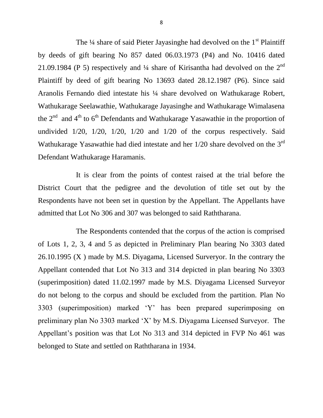The  $\frac{1}{4}$  share of said Pieter Jayasinghe had devolved on the  $1<sup>st</sup>$  Plaintiff by deeds of gift bearing No 857 dated 06.03.1973 (P4) and No. 10416 dated 21.09.1984 (P 5) respectively and  $\frac{1}{4}$  share of Kirisantha had devolved on the  $2^{nd}$ Plaintiff by deed of gift bearing No 13693 dated 28.12.1987 (P6). Since said Aranolis Fernando died intestate his ¼ share devolved on Wathukarage Robert, Wathukarage Seelawathie, Wathukarage Jayasinghe and Wathukarage Wimalasena the  $2<sup>nd</sup>$  and  $4<sup>th</sup>$  to  $6<sup>th</sup>$  Defendants and Wathukarage Yasawathie in the proportion of undivided 1/20, 1/20, 1/20, 1/20 and 1/20 of the corpus respectively. Said Wathukarage Yasawathie had died intestate and her  $1/20$  share devolved on the  $3<sup>rd</sup>$ Defendant Wathukarage Haramanis.

It is clear from the points of contest raised at the trial before the District Court that the pedigree and the devolution of title set out by the Respondents have not been set in question by the Appellant. The Appellants have admitted that Lot No 306 and 307 was belonged to said Raththarana.

The Respondents contended that the corpus of the action is comprised of Lots 1, 2, 3, 4 and 5 as depicted in Preliminary Plan bearing No 3303 dated 26.10.1995 (X ) made by M.S. Diyagama, Licensed Surveryor. In the contrary the Appellant contended that Lot No 313 and 314 depicted in plan bearing No 3303 (superimposition) dated 11.02.1997 made by M.S. Diyagama Licensed Surveyor do not belong to the corpus and should be excluded from the partition. Plan No 3303 (superimposition) marked 'Y' has been prepared superimposing on preliminary plan No 3303 marked 'X' by M.S. Diyagama Licensed Surveyor. The Appellant's position was that Lot No 313 and 314 depicted in FVP No 461 was belonged to State and settled on Raththarana in 1934.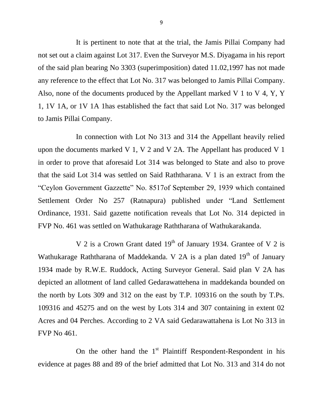It is pertinent to note that at the trial, the Jamis Pillai Company had not set out a claim against Lot 317. Even the Surveyor M.S. Diyagama in his report of the said plan bearing No 3303 (superimposition) dated 11.02,1997 has not made any reference to the effect that Lot No. 317 was belonged to Jamis Pillai Company. Also, none of the documents produced by the Appellant marked V 1 to V 4, Y, Y 1, 1V 1A, or 1V 1A 1has established the fact that said Lot No. 317 was belonged to Jamis Pillai Company.

In connection with Lot No 313 and 314 the Appellant heavily relied upon the documents marked V 1, V 2 and V 2A. The Appellant has produced V 1 in order to prove that aforesaid Lot 314 was belonged to State and also to prove that the said Lot 314 was settled on Said Raththarana. V 1 is an extract from the "Ceylon Government Gazzette" No. 8517of September 29, 1939 which contained Settlement Order No 257 (Ratnapura) published under "Land Settlement Ordinance, 1931. Said gazette notification reveals that Lot No. 314 depicted in FVP No. 461 was settled on Wathukarage Raththarana of Wathukarakanda.

V 2 is a Crown Grant dated  $19<sup>th</sup>$  of January 1934. Grantee of V 2 is Wathukarage Raththarana of Maddekanda. V 2A is a plan dated  $19<sup>th</sup>$  of January 1934 made by R.W.E. Ruddock, Acting Surveyor General. Said plan V 2A has depicted an allotment of land called Gedarawattehena in maddekanda bounded on the north by Lots 309 and 312 on the east by T.P. 109316 on the south by T.Ps. 109316 and 45275 and on the west by Lots 314 and 307 containing in extent 02 Acres and 04 Perches. According to 2 VA said Gedarawattahena is Lot No 313 in FVP No 461.

On the other hand the  $1<sup>st</sup>$  Plaintiff Respondent-Respondent in his evidence at pages 88 and 89 of the brief admitted that Lot No. 313 and 314 do not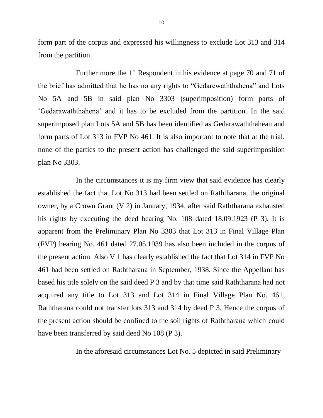form part of the corpus and expressed his willingness to exclude Lot 313 and 314 from the partition.

Further more the  $1<sup>st</sup>$  Respondent in his evidence at page 70 and 71 of the brief has admitted that he has no any rights to "Gedarewaththahena" and Lots No 5A and 5B in said plan No 3303 (superimposition) form parts of 'Gedarawaththahena' and it has to be excluded from the partition. In the said superimposed plan Lots 5A and 5B has been identified as Gedarawaththahean and form parts of Lot 313 in FVP No 461. It is also important to note that at the trial, none of the parties to the present action has challenged the said superimposition plan No 3303.

In the circumstances it is my firm view that said evidence has clearly established the fact that Lot No 313 had been settled on Raththarana, the original owner, by a Crown Grant (V 2) in January, 1934, after said Raththarana exhausted his rights by executing the deed bearing No. 108 dated 18.09.1923 (P 3). It is apparent from the Preliminary Plan No 3303 that Lot 313 in Final Village Plan (FVP) bearing No. 461 dated 27.05.1939 has also been included in the corpus of the present action. Also V 1 has clearly established the fact that Lot 314 in FVP No 461 had been settled on Raththarana in September, 1938. Since the Appellant has based his title solely on the said deed P 3 and by that time said Raththarana had not acquired any title to Lot 313 and Lot 314 in Final Village Plan No. 461, Raththarana could not transfer lots 313 and 314 by deed P 3. Hence the corpus of the present action should be confined to the soil rights of Raththarana which could have been transferred by said deed No 108 (P 3).

In the aforesaid circumstances Lot No. 5 depicted in said Preliminary